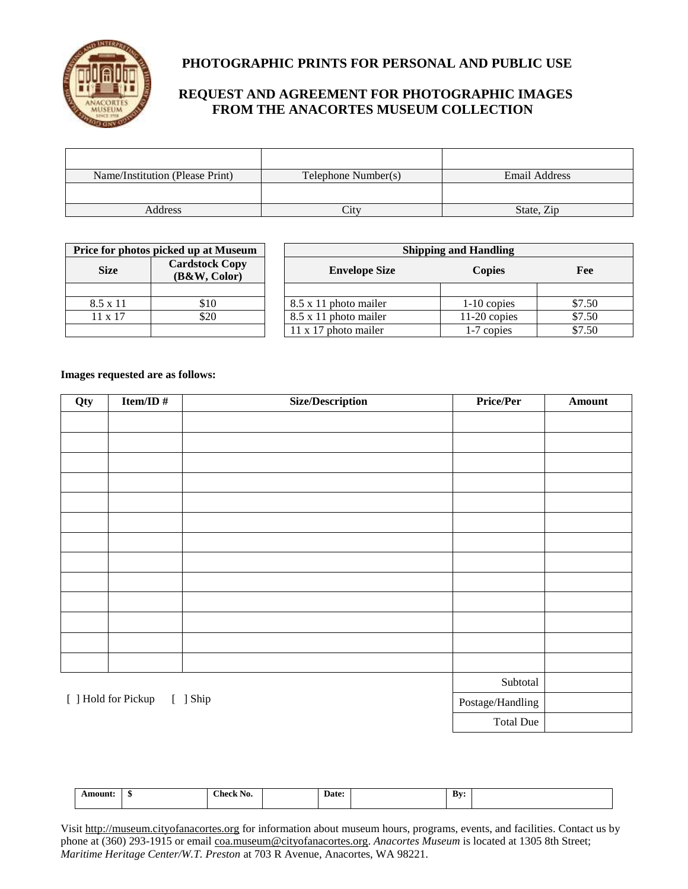

## **PHOTOGRAPHIC PRINTS FOR PERSONAL AND PUBLIC USE**

# **REQUEST AND AGREEMENT FOR PHOTOGRAPHIC IMAGES FROM THE ANACORTES MUSEUM COLLECTION**

| Name/Institution (Please Print) | Telephone Number(s) | Email Address |
|---------------------------------|---------------------|---------------|
|                                 |                     |               |
| Address                         | `itv                | State, Zip    |

| Price for photos picked up at Museum |                                       | <b>Shipping and Handling</b> |                |        |  |
|--------------------------------------|---------------------------------------|------------------------------|----------------|--------|--|
| <b>Size</b>                          | <b>Cardstock Copy</b><br>(B&W, Color) | <b>Envelope Size</b>         | <b>Copies</b>  | Fee    |  |
|                                      |                                       |                              |                |        |  |
| $8.5 \times 11$                      | \$10                                  | 8.5 x 11 photo mailer        | $1-10$ copies  | \$7.50 |  |
| $11 \times 17$                       | \$20                                  | 8.5 x 11 photo mailer        | $11-20$ copies | \$7.50 |  |
|                                      |                                       | $11 \times 17$ photo mailer  | 1-7 copies     | \$7.50 |  |

## **Images requested are as follows:**

| Qty                             | Item/ID# | <b>Size/Description</b> | Price/Per        | <b>Amount</b> |
|---------------------------------|----------|-------------------------|------------------|---------------|
|                                 |          |                         |                  |               |
|                                 |          |                         |                  |               |
|                                 |          |                         |                  |               |
|                                 |          |                         |                  |               |
|                                 |          |                         |                  |               |
|                                 |          |                         |                  |               |
|                                 |          |                         |                  |               |
|                                 |          |                         |                  |               |
|                                 |          |                         |                  |               |
|                                 |          |                         |                  |               |
|                                 |          |                         |                  |               |
|                                 |          |                         |                  |               |
|                                 |          |                         |                  |               |
| [ ] Hold for Pickup<br>[ ] Ship |          | Subtotal                |                  |               |
|                                 |          | Postage/Handling        |                  |               |
|                                 |          |                         | <b>Total Due</b> |               |

| `mount. | <b>Check No.</b><br>______ | Date: | Bv |  |
|---------|----------------------------|-------|----|--|
|         |                            |       |    |  |

Visit [http://museum.cityofanacortes.org](http://museum.cityofanacortes.org/) for information about museum hours, programs, events, and facilities. Contact us by phone at (360) 293-1915 or email [coa.museum@cityofanacortes.org.](mailto:coa.museum@cityofanacortes.org) *Anacortes Museum* is located at 1305 8th Street; *Maritime Heritage Center/W.T. Preston* at 703 R Avenue, Anacortes, WA 98221.